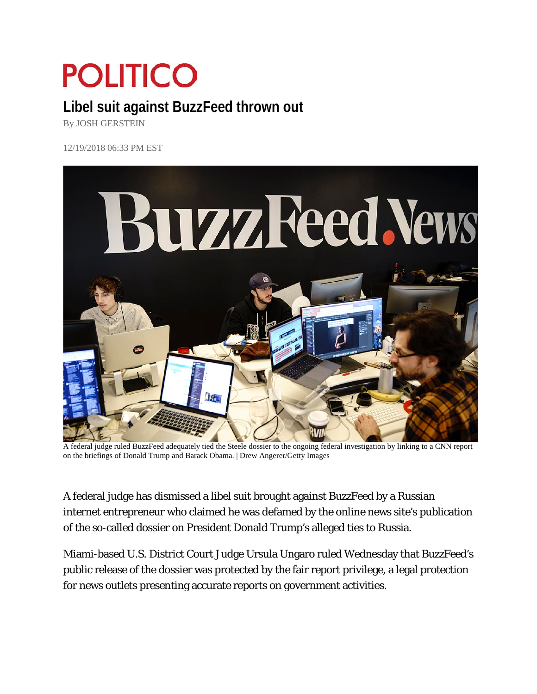## **POLITICO**

## **Libel suit against BuzzFeed thrown out**

By JOSH GERSTEIN

12/19/2018 06:33 PM EST



A federal judge ruled BuzzFeed adequately tied the Steele dossier to the ongoing federal investigation by linking to a CNN report on the briefings of Donald Trump and Barack Obama. | Drew Angerer/Getty Images

A federal judge has dismissed a libel suit brought against BuzzFeed by a Russian internet entrepreneur who claimed he was defamed by the online news site's publication of the so-called dossier on President Donald Trump's alleged ties to Russia.

Miami-based U.S. District Court Judge Ursula Ungaro ruled Wednesday that BuzzFeed's public release of the dossier was protected by the fair report privilege, a legal protection for news outlets presenting accurate reports on government activities.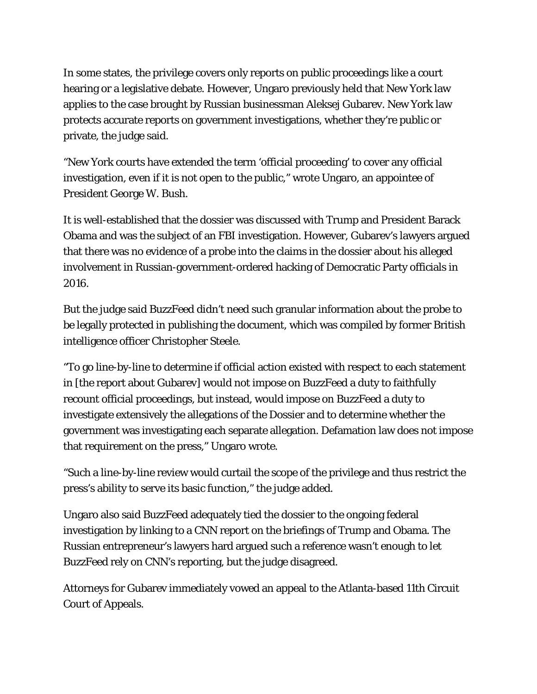In some states, the privilege covers only reports on public proceedings like a court hearing or a legislative debate. However, Ungaro previously held that New York law applies to the case brought by Russian businessman Aleksej Gubarev. New York law protects accurate reports on government investigations, whether they're public or private, the judge said.

"New York courts have extended the term 'official proceeding' to cover any official investigation, even if it is not open to the public," wrote Ungaro, an appointee of President George W. Bush.

It is well-established that the dossier was discussed with Trump and President Barack Obama and was the subject of an FBI investigation. However, Gubarev's lawyers argued that there was no evidence of a probe into the claims in the dossier about his alleged involvement in Russian-government-ordered hacking of Democratic Party officials in 2016.

But the judge said BuzzFeed didn't need such granular information about the probe to be legally protected in publishing the document, which was compiled by former British intelligence officer Christopher Steele.

"To go line-by-line to determine if official action existed with respect to each statement in [the report about Gubarev] would not impose on BuzzFeed a duty to faithfully recount official proceedings, but instead, would impose on BuzzFeed a duty to investigate extensively the allegations of the Dossier and to determine whether the government was investigating each separate allegation. Defamation law does not impose that requirement on the press," Ungaro wrote.

"Such a line-by-line review would curtail the scope of the privilege and thus restrict the press's ability to serve its basic function," the judge added.

Ungaro also said BuzzFeed adequately tied the dossier to the ongoing federal investigation by linking to a CNN report on the briefings of Trump and Obama. The Russian entrepreneur's lawyers hard argued such a reference wasn't enough to let BuzzFeed rely on CNN's reporting, but the judge disagreed.

Attorneys for Gubarev immediately vowed an appeal to the Atlanta-based 11th Circuit Court of Appeals.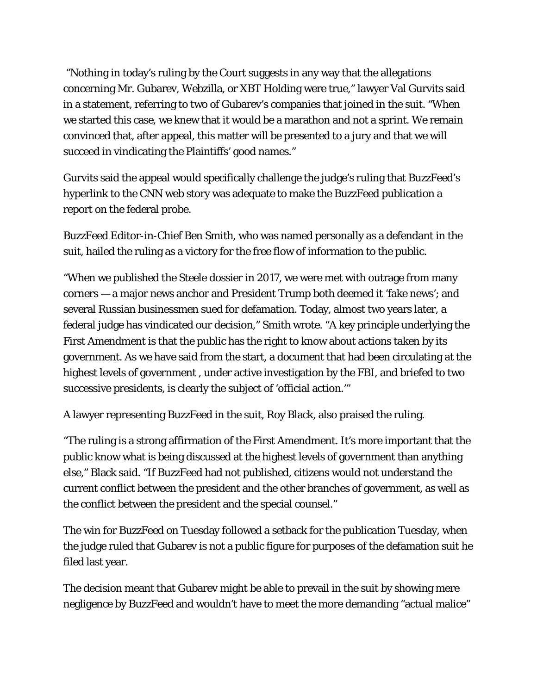"Nothing in today's ruling by the Court suggests in any way that the allegations concerning Mr. Gubarev, Webzilla, or XBT Holding were true," lawyer Val Gurvits said in a statement, referring to two of Gubarev's companies that joined in the suit. "When we started this case, we knew that it would be a marathon and not a sprint. We remain convinced that, after appeal, this matter will be presented to a jury and that we will succeed in vindicating the Plaintiffs' good names."

Gurvits said the appeal would specifically challenge the judge's ruling that BuzzFeed's hyperlink to the CNN web story was adequate to make the BuzzFeed publication a report on the federal probe.

BuzzFeed Editor-in-Chief Ben Smith, who was named personally as a defendant in the suit, hailed the ruling as a victory for the free flow of information to the public.

"When we published the Steele dossier in 2017, we were met with outrage from many corners — a major news anchor and President Trump both deemed it 'fake news'; and several Russian businessmen sued for defamation. Today, almost two years later, a federal judge has vindicated our decision," Smith wrote. "A key principle underlying the First Amendment is that the public has the right to know about actions taken by its government. As we have said from the start, a document that had been circulating at the highest levels of government , under active investigation by the FBI, and briefed to two successive presidents, is clearly the subject of 'official action.'"

A lawyer representing BuzzFeed in the suit, Roy Black, also praised the ruling.

"The ruling is a strong affirmation of the First Amendment. It's more important that the public know what is being discussed at the highest levels of government than anything else," Black said. "If BuzzFeed had not published, citizens would not understand the current conflict between the president and the other branches of government, as well as the conflict between the president and the special counsel."

The win for BuzzFeed on Tuesday followed a setback for the publication Tuesday, when the judge ruled that Gubarev is not a public figure for purposes of the defamation suit he filed last year.

The decision meant that Gubarev might be able to prevail in the suit by showing mere negligence by BuzzFeed and wouldn't have to meet the more demanding "actual malice"